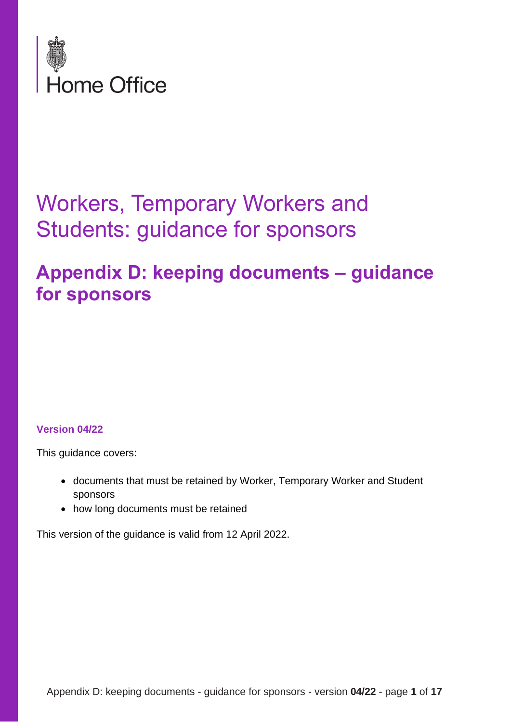

# Workers, Temporary Workers and Students: guidance for sponsors

# **Appendix D: keeping documents – guidance for sponsors**

#### **Version 04/22**

This guidance covers:

- documents that must be retained by Worker, Temporary Worker and Student sponsors
- how long documents must be retained

This version of the guidance is valid from 12 April 2022.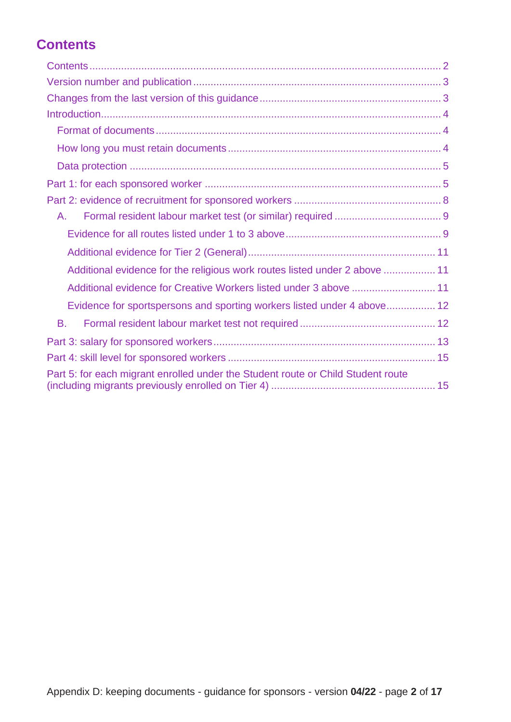## <span id="page-1-0"></span>**Contents**

| Α.                                                                               |  |  |
|----------------------------------------------------------------------------------|--|--|
|                                                                                  |  |  |
|                                                                                  |  |  |
| Additional evidence for the religious work routes listed under 2 above  11       |  |  |
| Additional evidence for Creative Workers listed under 3 above  11                |  |  |
| Evidence for sportspersons and sporting workers listed under 4 above 12          |  |  |
| В.                                                                               |  |  |
|                                                                                  |  |  |
|                                                                                  |  |  |
| Part 5: for each migrant enrolled under the Student route or Child Student route |  |  |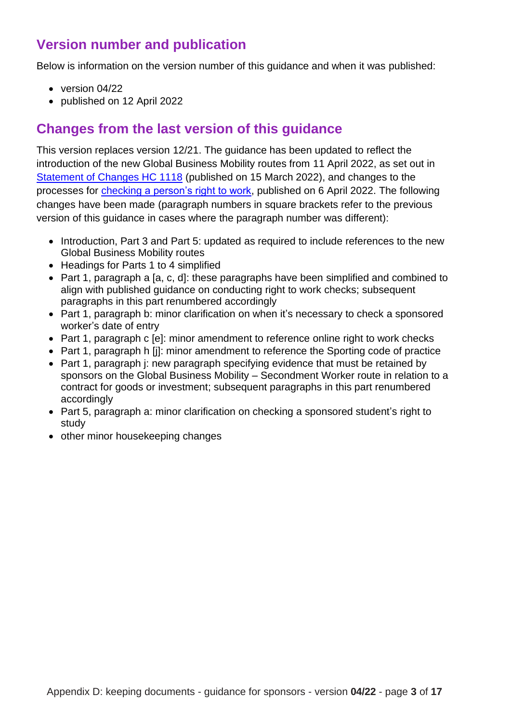### <span id="page-2-0"></span>**Version number and publication**

Below is information on the version number of this guidance and when it was published:

- version 04/22
- published on 12 April 2022

### <span id="page-2-1"></span>**Changes from the last version of this guidance**

This version replaces version 12/21. The guidance has been updated to reflect the introduction of the new Global Business Mobility routes from 11 April 2022, as set out in [Statement of Changes HC 1118](https://www.gov.uk/government/collections/immigration-rules-statement-of-changes#statement-of-changes-to-the-immigration-rules:-2022) (published on 15 March 2022), and changes to the processes for checking [a person's right to work,](https://www.gov.uk/government/publications/right-to-work-checks-employers-guide) published on 6 April 2022. The following changes have been made (paragraph numbers in square brackets refer to the previous version of this guidance in cases where the paragraph number was different):

- Introduction, Part 3 and Part 5: updated as required to include references to the new Global Business Mobility routes
- Headings for Parts 1 to 4 simplified
- Part 1, paragraph a [a, c, d]: these paragraphs have been simplified and combined to align with published guidance on conducting right to work checks; subsequent paragraphs in this part renumbered accordingly
- Part 1, paragraph b: minor clarification on when it's necessary to check a sponsored worker's date of entry
- Part 1, paragraph c [e]: minor amendment to reference online right to work checks
- Part 1, paragraph h [j]: minor amendment to reference the Sporting code of practice
- Part 1, paragraph i: new paragraph specifying evidence that must be retained by sponsors on the Global Business Mobility – Secondment Worker route in relation to a contract for goods or investment; subsequent paragraphs in this part renumbered accordingly
- Part 5, paragraph a: minor clarification on checking a sponsored student's right to study
- other minor housekeeping changes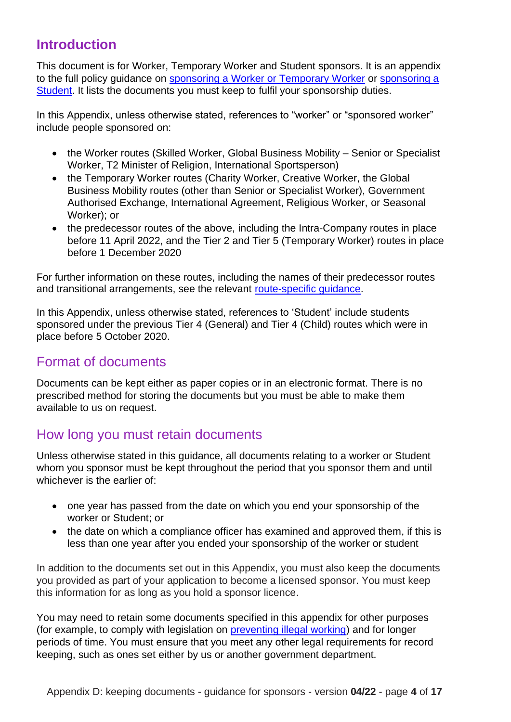### <span id="page-3-0"></span>**Introduction**

This document is for Worker, Temporary Worker and Student sponsors. It is an appendix to the full policy guidance on [sponsoring a Worker or Temporary Worker](https://www.gov.uk/government/collections/sponsorship-information-for-employers-and-educators#workers-and-temporary-workers:-guidance-for-sponsors) or [sponsoring a](https://www.gov.uk/government/publications/student-sponsor-guidance)  [Student.](https://www.gov.uk/government/publications/student-sponsor-guidance) It lists the documents you must keep to fulfil your sponsorship duties.

In this Appendix, unless otherwise stated, references to "worker" or "sponsored worker" include people sponsored on:

- the Worker routes (Skilled Worker, Global Business Mobility Senior or Specialist Worker, T2 Minister of Religion, International Sportsperson)
- the Temporary Worker routes (Charity Worker, Creative Worker, the Global Business Mobility routes (other than Senior or Specialist Worker), Government Authorised Exchange, International Agreement, Religious Worker, or Seasonal Worker); or
- the predecessor routes of the above, including the Intra-Company routes in place before 11 April 2022, and the Tier 2 and Tier 5 (Temporary Worker) routes in place before 1 December 2020

For further information on these routes, including the names of their predecessor routes and transitional arrangements, see the relevant [route-specific guidance.](https://www.gov.uk/government/collections/sponsorship-information-for-employers-and-educators#workers-and-temporary-workers:-guidance-for-sponsors)

In this Appendix, unless otherwise stated, references to 'Student' include students sponsored under the previous Tier 4 (General) and Tier 4 (Child) routes which were in place before 5 October 2020.

### <span id="page-3-1"></span>Format of documents

Documents can be kept either as paper copies or in an electronic format. There is no prescribed method for storing the documents but you must be able to make them available to us on request.

### <span id="page-3-2"></span>How long you must retain documents

Unless otherwise stated in this guidance, all documents relating to a worker or Student whom you sponsor must be kept throughout the period that you sponsor them and until whichever is the earlier of:

- one year has passed from the date on which you end your sponsorship of the worker or Student; or
- the date on which a compliance officer has examined and approved them, if this is less than one year after you ended your sponsorship of the worker or student

In addition to the documents set out in this Appendix, you must also keep the documents you provided as part of your application to become a licensed sponsor. You must keep this information for as long as you hold a sponsor licence.

You may need to retain some documents specified in this appendix for other purposes (for example, to comply with legislation on [preventing illegal working\)](https://www.gov.uk/government/publications/right-to-work-checks-employers-guide) and for longer periods of time. You must ensure that you meet any other legal requirements for record keeping, such as ones set either by us or another government department.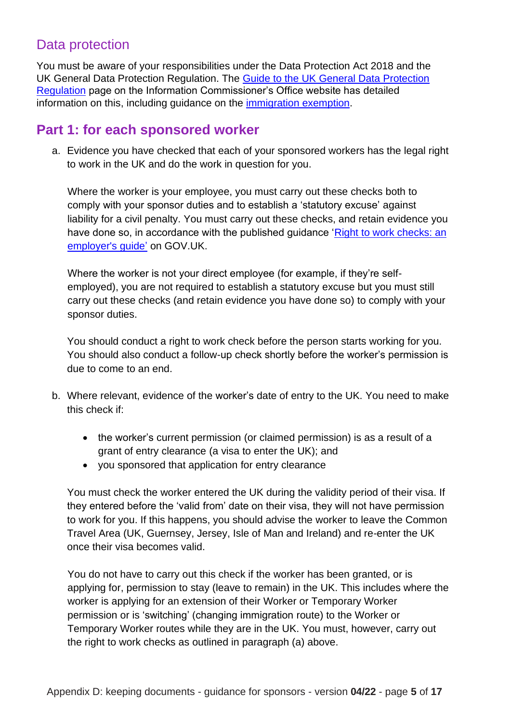### <span id="page-4-0"></span>Data protection

You must be aware of your responsibilities under the Data Protection Act 2018 and the UK General Data Protection Regulation. The Guide to the UK [General Data Protection](https://ico.org.uk/for-organisations/guide-to-data-protection/guide-to-the-general-data-protection-regulation-gdpr/)  [Regulation](https://ico.org.uk/for-organisations/guide-to-data-protection/guide-to-the-general-data-protection-regulation-gdpr/) page on the Information Commissioner's Office website has detailed information on this, including guidance on the [immigration exemption.](https://ico.org.uk/for-organisations/guide-to-data-protection/guide-to-the-general-data-protection-regulation-gdpr/exemptions/immigration-exemption/)

### <span id="page-4-1"></span>**Part 1: for each sponsored worker**

a. Evidence you have checked that each of your sponsored workers has the legal right to work in the UK and do the work in question for you.

Where the worker is your employee, you must carry out these checks both to comply with your sponsor duties and to establish a 'statutory excuse' against liability for a civil penalty. You must carry out these checks, and retain evidence you have done so, in accordance with the published guidance 'Right to work checks: an [employer's guide'](https://www.gov.uk/government/publications/right-to-work-checks-employers-guide) on GOV.UK.

Where the worker is not your direct employee (for example, if they're selfemployed), you are not required to establish a statutory excuse but you must still carry out these checks (and retain evidence you have done so) to comply with your sponsor duties.

You should conduct a right to work check before the person starts working for you. You should also conduct a follow-up check shortly before the worker's permission is due to come to an end.

- b. Where relevant, evidence of the worker's date of entry to the UK. You need to make this check if:
	- the worker's current permission (or claimed permission) is as a result of a grant of entry clearance (a visa to enter the UK); and
	- you sponsored that application for entry clearance

You must check the worker entered the UK during the validity period of their visa. If they entered before the 'valid from' date on their visa, they will not have permission to work for you. If this happens, you should advise the worker to leave the Common Travel Area (UK, Guernsey, Jersey, Isle of Man and Ireland) and re-enter the UK once their visa becomes valid.

You do not have to carry out this check if the worker has been granted, or is applying for, permission to stay (leave to remain) in the UK. This includes where the worker is applying for an extension of their Worker or Temporary Worker permission or is 'switching' (changing immigration route) to the Worker or Temporary Worker routes while they are in the UK. You must, however, carry out the right to work checks as outlined in paragraph (a) above.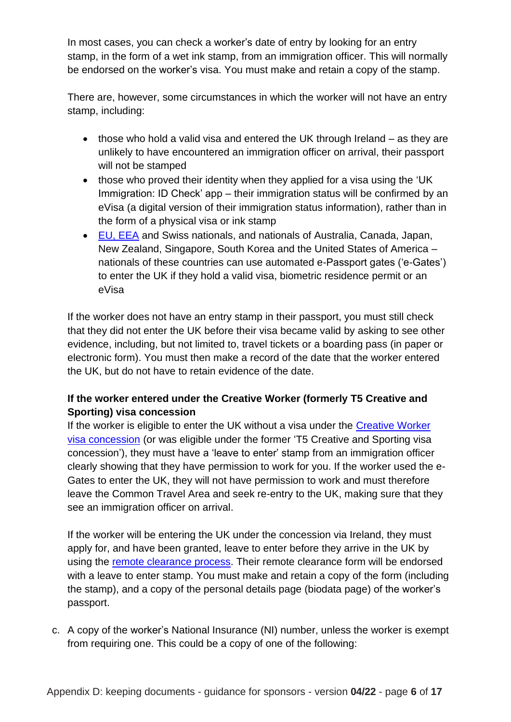In most cases, you can check a worker's date of entry by looking for an entry stamp, in the form of a wet ink stamp, from an immigration officer. This will normally be endorsed on the worker's visa. You must make and retain a copy of the stamp.

There are, however, some circumstances in which the worker will not have an entry stamp, including:

- those who hold a valid visa and entered the UK through Ireland as they are unlikely to have encountered an immigration officer on arrival, their passport will not be stamped
- those who proved their identity when they applied for a visa using the 'UK Immigration: ID Check' app – their immigration status will be confirmed by an eVisa (a digital version of their immigration status information), rather than in the form of a physical visa or ink stamp
- [EU, EEA](https://www.gov.uk/eu-eea) and Swiss nationals, and nationals of Australia, Canada, Japan, New Zealand, Singapore, South Korea and the United States of America – nationals of these countries can use automated e-Passport gates ('e-Gates') to enter the UK if they hold a valid visa, biometric residence permit or an eVisa

If the worker does not have an entry stamp in their passport, you must still check that they did not enter the UK before their visa became valid by asking to see other evidence, including, but not limited to, travel tickets or a boarding pass (in paper or electronic form). You must then make a record of the date that the worker entered the UK, but do not have to retain evidence of the date.

#### **If the worker entered under the Creative Worker (formerly T5 Creative and Sporting) visa concession**

If the worker is eligible to enter the UK without a visa under the Creative Worker [visa concession](https://www.gov.uk/government/publications/worker-and-temporary-workers-guidance-for-sponsors-sponsor-a-creative-worker/worker-and-temporary-workers-guidance-for-sponsors-sponsor-a-creative-worker-accessible-version#CRW6) (or was eligible under the former 'T5 Creative and Sporting visa concession'), they must have a 'leave to enter' stamp from an immigration officer clearly showing that they have permission to work for you. If the worker used the e-Gates to enter the UK, they will not have permission to work and must therefore leave the Common Travel Area and seek re-entry to the UK, making sure that they see an immigration officer on arrival.

If the worker will be entering the UK under the concession via Ireland, they must apply for, and have been granted, leave to enter before they arrive in the UK by using the [remote clearance process.](https://www.gov.uk/government/publications/tier-5-temporary-worker-concession-creative-and-sporting-immigration-clearance-form) Their remote clearance form will be endorsed with a leave to enter stamp. You must make and retain a copy of the form (including the stamp), and a copy of the personal details page (biodata page) of the worker's passport.

c. A copy of the worker's National Insurance (NI) number, unless the worker is exempt from requiring one. This could be a copy of one of the following: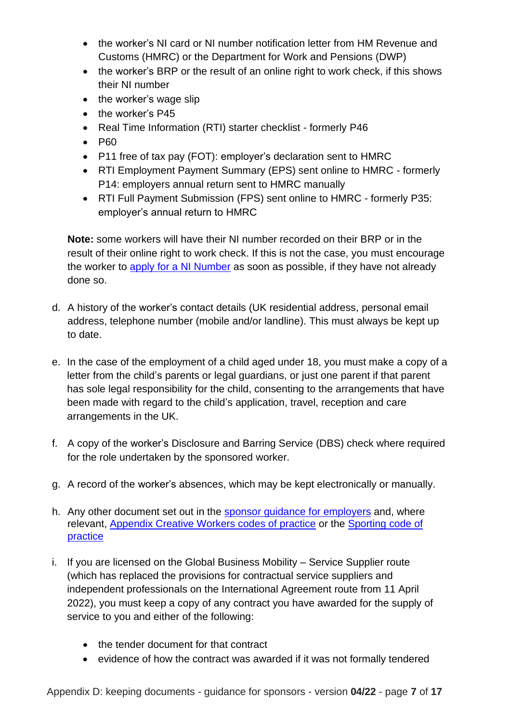- the worker's NI card or NI number notification letter from HM Revenue and Customs (HMRC) or the Department for Work and Pensions (DWP)
- the worker's BRP or the result of an online right to work check, if this shows their NI number
- the worker's wage slip
- the worker's P45
- Real Time Information (RTI) starter checklist formerly P46
- P60
- P11 free of tax pay (FOT): employer's declaration sent to HMRC
- RTI Employment Payment Summary (EPS) sent online to HMRC formerly P14: employers annual return sent to HMRC manually
- RTI Full Payment Submission (FPS) sent online to HMRC formerly P35: employer's annual return to HMRC

**Note:** some workers will have their NI number recorded on their BRP or in the result of their online right to work check. If this is not the case, you must encourage the worker to [apply for a NI Number](https://www.gov.uk/apply-national-insurance-number) as soon as possible, if they have not already done so.

- d. A history of the worker's contact details (UK residential address, personal email address, telephone number (mobile and/or landline). This must always be kept up to date.
- e. In the case of the employment of a child aged under 18, you must make a copy of a letter from the child's parents or legal guardians, or just one parent if that parent has sole legal responsibility for the child, consenting to the arrangements that have been made with regard to the child's application, travel, reception and care arrangements in the UK.
- f. A copy of the worker's Disclosure and Barring Service (DBS) check where required for the role undertaken by the sponsored worker.
- g. A record of the worker's absences, which may be kept electronically or manually.
- h. Any other document set out in the [sponsor guidance for employers](https://www.gov.uk/government/collections/sponsorship-information-for-employers-and-educators#workers-and-temporary-workers:-guidance-for-sponsors) and, where relevant, [Appendix Creative Workers codes of practice](https://www.gov.uk/guidance/immigration-rules) or the [Sporting code of](https://www.gov.uk/government/publications/sponsorship-sporting-code-of-practice)  [practice](https://www.gov.uk/government/publications/sponsorship-sporting-code-of-practice)
- i. If you are licensed on the Global Business Mobility Service Supplier route (which has replaced the provisions for contractual service suppliers and independent professionals on the International Agreement route from 11 April 2022), you must keep a copy of any contract you have awarded for the supply of service to you and either of the following:
	- the tender document for that contract
	- evidence of how the contract was awarded if it was not formally tendered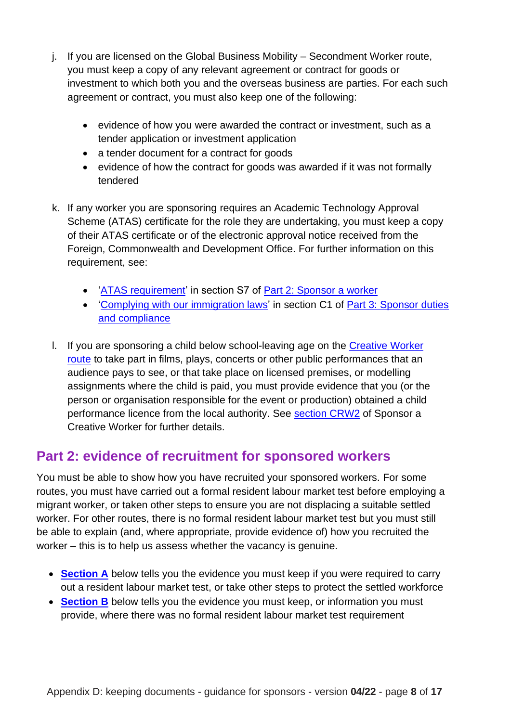- j. If you are licensed on the Global Business Mobility Secondment Worker route, you must keep a copy of any relevant agreement or contract for goods or investment to which both you and the overseas business are parties. For each such agreement or contract, you must also keep one of the following:
	- evidence of how you were awarded the contract or investment, such as a tender application or investment application
	- a tender document for a contract for goods
	- evidence of how the contract for goods was awarded if it was not formally tendered
- k. If any worker you are sponsoring requires an Academic Technology Approval Scheme (ATAS) certificate for the role they are undertaking, you must keep a copy of their ATAS certificate or of the electronic approval notice received from the Foreign, Commonwealth and Development Office. For further information on this requirement, see:
	- ['ATAS requirement'](https://www.gov.uk/government/publications/workers-and-temporary-workers-guidance-for-sponsors-part-2-sponsor-a-worker/workers-and-temporary-workers-guidance-for-sponsors-part-2-sponsor-a-worker-general-information-accessible-version#ATAS-requirement) in section S7 of [Part 2: Sponsor a worker](https://www.gov.uk/government/publications/workers-and-temporary-workers-guidance-for-sponsors-part-2-sponsor-a-worker/workers-and-temporary-workers-guidance-for-sponsors-part-2-sponsor-a-worker-general-information-accessible-version)
	- Complying with our immigration laws' in section C1 of Part 3: Sponsor duties [and compliance](https://www.gov.uk/government/publications/workers-and-temporary-workers-guidance-for-sponsors-part-3-sponsor-duties-and-compliance/workers-and-temporary-workers-guidance-for-sponsors-part-3-sponsor-duties-and-compliance-accessible-version)
- l. If you are sponsoring a child below school-leaving age on the [Creative Worker](https://www.gov.uk/government/publications/worker-and-temporary-workers-guidance-for-sponsors-sponsor-a-creative-worker/worker-and-temporary-workers-guidance-for-sponsors-sponsor-a-creative-worker-accessible-version)  [route](https://www.gov.uk/government/publications/worker-and-temporary-workers-guidance-for-sponsors-sponsor-a-creative-worker/worker-and-temporary-workers-guidance-for-sponsors-sponsor-a-creative-worker-accessible-version) to take part in films, plays, concerts or other public performances that an audience pays to see, or that take place on licensed premises, or modelling assignments where the child is paid, you must provide evidence that you (or the person or organisation responsible for the event or production) obtained a child performance licence from the local authority. See [section CRW2](https://www.gov.uk/government/publications/worker-and-temporary-workers-guidance-for-sponsors-sponsor-a-creative-worker/worker-and-temporary-workers-guidance-for-sponsors-sponsor-a-creative-worker-accessible-version#sponsoring-children) of Sponsor a Creative Worker for further details.

### <span id="page-7-0"></span>**Part 2: evidence of recruitment for sponsored workers**

You must be able to show how you have recruited your sponsored workers. For some routes, you must have carried out a formal resident labour market test before employing a migrant worker, or taken other steps to ensure you are not displacing a suitable settled worker. For other routes, there is no formal resident labour market test but you must still be able to explain (and, where appropriate, provide evidence of) how you recruited the worker – this is to help us assess whether the vacancy is genuine.

- **[Section A](#page-8-0)** below tells you the evidence you must keep if you were required to carry out a resident labour market test, or take other steps to protect the settled workforce
- **[Section B](#page-11-1)** below tells you the evidence you must keep, or information you must provide, where there was no formal resident labour market test requirement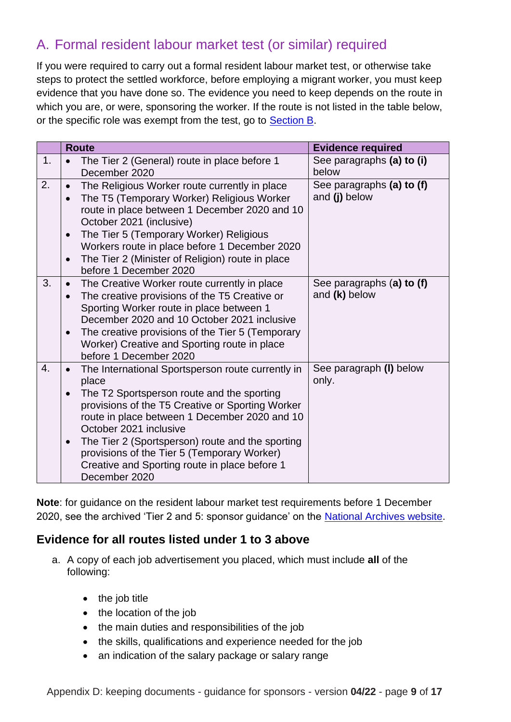### <span id="page-8-0"></span>A. Formal resident labour market test (or similar) required

If you were required to carry out a formal resident labour market test, or otherwise take steps to protect the settled workforce, before employing a migrant worker, you must keep evidence that you have done so. The evidence you need to keep depends on the route in which you are, or were, sponsoring the worker. If the route is not listed in the table below, or the specific role was exempt from the test, go to **Section B**.

|    | <b>Route</b>                                                                                                                                                                                                                                                                                                                                                                                                              | <b>Evidence required</b>                     |
|----|---------------------------------------------------------------------------------------------------------------------------------------------------------------------------------------------------------------------------------------------------------------------------------------------------------------------------------------------------------------------------------------------------------------------------|----------------------------------------------|
| 1. | The Tier 2 (General) route in place before 1<br>December 2020                                                                                                                                                                                                                                                                                                                                                             | See paragraphs (a) to (i)<br>below           |
| 2. | The Religious Worker route currently in place<br>The T5 (Temporary Worker) Religious Worker<br>$\bullet$<br>route in place between 1 December 2020 and 10<br>October 2021 (inclusive)<br>The Tier 5 (Temporary Worker) Religious<br>$\bullet$<br>Workers route in place before 1 December 2020<br>The Tier 2 (Minister of Religion) route in place<br>$\bullet$<br>before 1 December 2020                                 | See paragraphs (a) to (f)<br>and (j) below   |
| 3. | The Creative Worker route currently in place<br>The creative provisions of the T5 Creative or<br>Sporting Worker route in place between 1<br>December 2020 and 10 October 2021 inclusive<br>The creative provisions of the Tier 5 (Temporary<br>$\bullet$<br>Worker) Creative and Sporting route in place<br>before 1 December 2020                                                                                       | See paragraphs (a) to (f)<br>and $(k)$ below |
| 4. | The International Sportsperson route currently in<br>place<br>The T2 Sportsperson route and the sporting<br>provisions of the T5 Creative or Sporting Worker<br>route in place between 1 December 2020 and 10<br>October 2021 inclusive<br>The Tier 2 (Sportsperson) route and the sporting<br>$\bullet$<br>provisions of the Tier 5 (Temporary Worker)<br>Creative and Sporting route in place before 1<br>December 2020 | See paragraph (I) below<br>only.             |

**Note**: for guidance on the resident labour market test requirements before 1 December 2020, see the archived 'Tier 2 and 5: sponsor guidance' on the [National Archives website.](https://webarchive.nationalarchives.gov.uk/20201123220544/https:/www.gov.uk/government/publications/sponsor-a-tier-2-or-5-worker-guidance-for-employers)

#### <span id="page-8-1"></span>**Evidence for all routes listed under 1 to 3 above**

- a. A copy of each job advertisement you placed, which must include **all** of the following:
	- the job title
	- the location of the job
	- the main duties and responsibilities of the job
	- the skills, qualifications and experience needed for the job
	- an indication of the salary package or salary range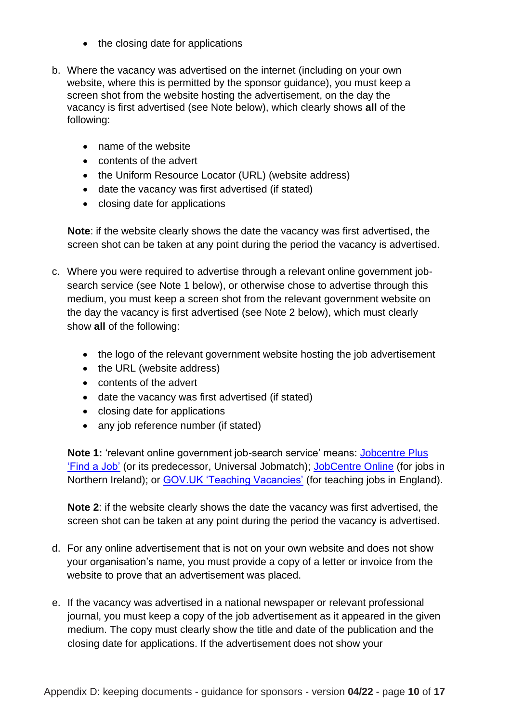- the closing date for applications
- b. Where the vacancy was advertised on the internet (including on your own website, where this is permitted by the sponsor quidance), you must keep a screen shot from the website hosting the advertisement, on the day the vacancy is first advertised (see Note below), which clearly shows **all** of the following:
	- name of the website
	- contents of the advert
	- the Uniform Resource Locator (URL) (website address)
	- date the vacancy was first advertised (if stated)
	- closing date for applications

**Note**: if the website clearly shows the date the vacancy was first advertised, the screen shot can be taken at any point during the period the vacancy is advertised.

- c. Where you were required to advertise through a relevant online government jobsearch service (see Note 1 below), or otherwise chose to advertise through this medium, you must keep a screen shot from the relevant government website on the day the vacancy is first advertised (see Note 2 below), which must clearly show **all** of the following:
	- the logo of the relevant government website hosting the job advertisement
	- the URL (website address)
	- contents of the advert
	- date the vacancy was first advertised (if stated)
	- closing date for applications
	- any job reference number (if stated)

**Note 1:** 'relevant online government job-search service' means: Jobcentre Plus ['Find a Job'](https://www.gov.uk/find-a-job) (or its predecessor, Universal Jobmatch); [JobCentre Online](https://www.jobcentreonline.com/JCOLFront/Home.aspx) (for jobs in Northern Ireland); or [GOV.UK 'Teaching Vacancies'](https://teaching-vacancies.service.gov.uk/) (for teaching jobs in England).

**Note 2**: if the website clearly shows the date the vacancy was first advertised, the screen shot can be taken at any point during the period the vacancy is advertised.

- d. For any online advertisement that is not on your own website and does not show your organisation's name, you must provide a copy of a letter or invoice from the website to prove that an advertisement was placed.
- e. If the vacancy was advertised in a national newspaper or relevant professional journal, you must keep a copy of the job advertisement as it appeared in the given medium. The copy must clearly show the title and date of the publication and the closing date for applications. If the advertisement does not show your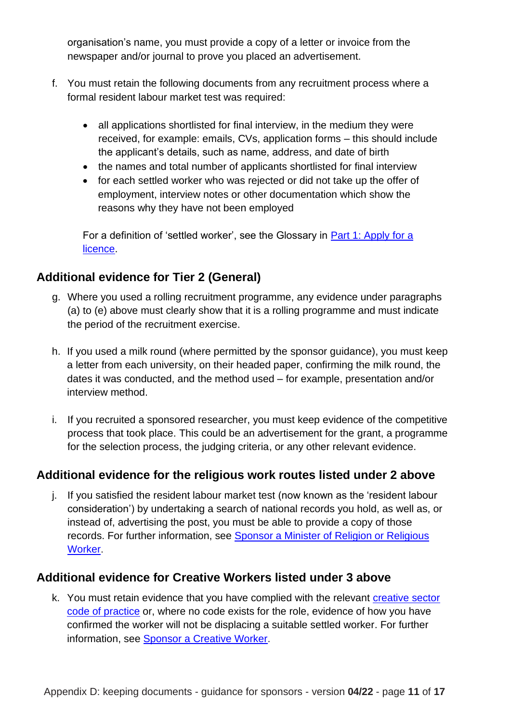organisation's name, you must provide a copy of a letter or invoice from the newspaper and/or journal to prove you placed an advertisement.

- f. You must retain the following documents from any recruitment process where a formal resident labour market test was required:
	- all applications shortlisted for final interview, in the medium they were received, for example: emails, CVs, application forms – this should include the applicant's details, such as name, address, and date of birth
	- the names and total number of applicants shortlisted for final interview
	- for each settled worker who was rejected or did not take up the offer of employment, interview notes or other documentation which show the reasons why they have not been employed

For a definition of 'settled worker', see the Glossary in **Part 1: Apply for a** [licence.](https://www.gov.uk/government/publications/workers-and-temporary-workers-guidance-for-sponsors-part-1-apply-for-a-licence)

### <span id="page-10-0"></span>**Additional evidence for Tier 2 (General)**

- g. Where you used a rolling recruitment programme, any evidence under paragraphs (a) to (e) above must clearly show that it is a rolling programme and must indicate the period of the recruitment exercise.
- h. If you used a milk round (where permitted by the sponsor guidance), you must keep a letter from each university, on their headed paper, confirming the milk round, the dates it was conducted, and the method used – for example, presentation and/or interview method.
- i. If you recruited a sponsored researcher, you must keep evidence of the competitive process that took place. This could be an advertisement for the grant, a programme for the selection process, the judging criteria, or any other relevant evidence.

#### <span id="page-10-1"></span>**Additional evidence for the religious work routes listed under 2 above**

j. If you satisfied the resident labour market test (now known as the 'resident labour consideration') by undertaking a search of national records you hold, as well as, or instead of, advertising the post, you must be able to provide a copy of those records. For further information, see [Sponsor a Minister of Religion or Religious](https://www.gov.uk/government/publications/workers-and-temporary-workers-guidance-for-sponsors-sponsor-a-minister-of-religion-or-religious-worker)  [Worker.](https://www.gov.uk/government/publications/workers-and-temporary-workers-guidance-for-sponsors-sponsor-a-minister-of-religion-or-religious-worker)

#### <span id="page-10-2"></span>**Additional evidence for Creative Workers listed under 3 above**

k. You must retain evidence that you have complied with the relevant [creative sector](https://www.gov.uk/guidance/immigration-rules)  [code of practice](https://www.gov.uk/guidance/immigration-rules) or, where no code exists for the role, evidence of how you have confirmed the worker will not be displacing a suitable settled worker. For further information, see [Sponsor a Creative Worker.](https://www.gov.uk/government/publications/worker-and-temporary-workers-guidance-for-sponsors-sponsor-a-creative-worker)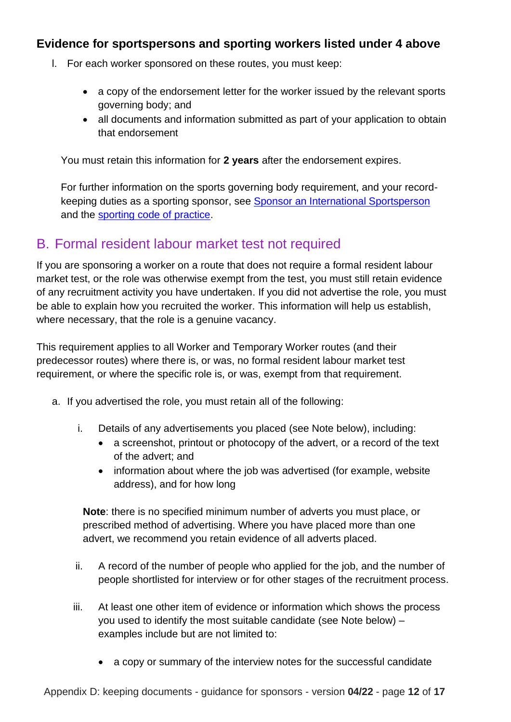#### <span id="page-11-0"></span>**Evidence for sportspersons and sporting workers listed under 4 above**

- l. For each worker sponsored on these routes, you must keep:
	- a copy of the endorsement letter for the worker issued by the relevant sports governing body; and
	- all documents and information submitted as part of your application to obtain that endorsement

You must retain this information for **2 years** after the endorsement expires.

For further information on the sports governing body requirement, and your recordkeeping duties as a sporting sponsor, see [Sponsor an International Sportsperson](https://www.gov.uk/government/publications/workers-and-temporary-workers-guidance-for-sponsors-sponsor-a-sportsperson-or-sporting-worker) and the [sporting code of practice.](https://www.gov.uk/government/publications/sponsorship-sporting-code-of-practice)

### <span id="page-11-1"></span>B. Formal resident labour market test not required

If you are sponsoring a worker on a route that does not require a formal resident labour market test, or the role was otherwise exempt from the test, you must still retain evidence of any recruitment activity you have undertaken. If you did not advertise the role, you must be able to explain how you recruited the worker. This information will help us establish, where necessary, that the role is a genuine vacancy.

This requirement applies to all Worker and Temporary Worker routes (and their predecessor routes) where there is, or was, no formal resident labour market test requirement, or where the specific role is, or was, exempt from that requirement.

- a. If you advertised the role, you must retain all of the following:
	- i. Details of any advertisements you placed (see Note below), including:
		- a screenshot, printout or photocopy of the advert, or a record of the text of the advert; and
		- information about where the job was advertised (for example, website address), and for how long

**Note**: there is no specified minimum number of adverts you must place, or prescribed method of advertising. Where you have placed more than one advert, we recommend you retain evidence of all adverts placed.

- ii. A record of the number of people who applied for the job, and the number of people shortlisted for interview or for other stages of the recruitment process.
- iii. At least one other item of evidence or information which shows the process you used to identify the most suitable candidate (see Note below) – examples include but are not limited to:
	- a copy or summary of the interview notes for the successful candidate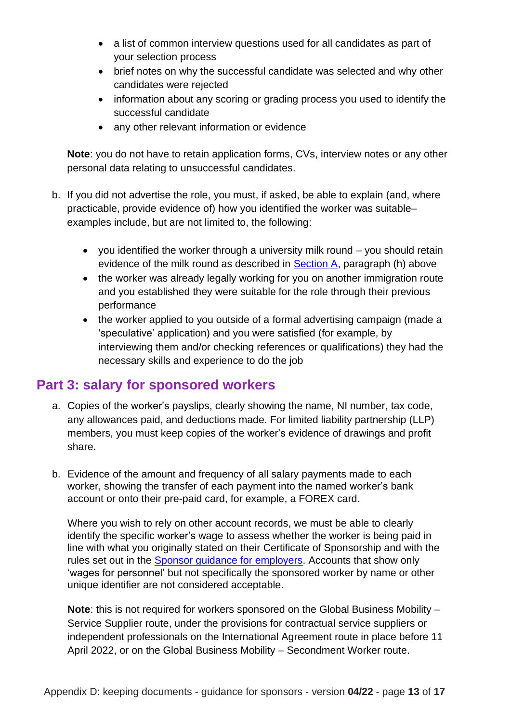- a list of common interview questions used for all candidates as part of your selection process
- brief notes on why the successful candidate was selected and why other candidates were rejected
- information about any scoring or grading process you used to identify the successful candidate
- any other relevant information or evidence

**Note**: you do not have to retain application forms, CVs, interview notes or any other personal data relating to unsuccessful candidates.

- b. If you did not advertise the role, you must, if asked, be able to explain (and, where practicable, provide evidence of) how you identified the worker was suitable– examples include, but are not limited to, the following:
	- you identified the worker through a university milk round you should retain evidence of the milk round as described in [Section A,](#page-8-0) paragraph (h) above
	- the worker was already legally working for you on another immigration route and you established they were suitable for the role through their previous performance
	- the worker applied to you outside of a formal advertising campaign (made a 'speculative' application) and you were satisfied (for example, by interviewing them and/or checking references or qualifications) they had the necessary skills and experience to do the job

### <span id="page-12-0"></span>**Part 3: salary for sponsored workers**

- a. Copies of the worker's payslips, clearly showing the name, NI number, tax code, any allowances paid, and deductions made. For limited liability partnership (LLP) members, you must keep copies of the worker's evidence of drawings and profit share.
- b. Evidence of the amount and frequency of all salary payments made to each worker, showing the transfer of each payment into the named worker's bank account or onto their pre-paid card, for example, a FOREX card.

Where you wish to rely on other account records, we must be able to clearly identify the specific worker's wage to assess whether the worker is being paid in line with what you originally stated on their Certificate of Sponsorship and with the rules set out in the [Sponsor guidance for employers.](https://www.gov.uk/government/collections/sponsorship-information-for-employers-and-educators#workers-and-temporary-workers:-guidance-for-sponsors) Accounts that show only 'wages for personnel' but not specifically the sponsored worker by name or other unique identifier are not considered acceptable.

**Note**: this is not required for workers sponsored on the Global Business Mobility – Service Supplier route, under the provisions for contractual service suppliers or independent professionals on the International Agreement route in place before 11 April 2022, or on the Global Business Mobility – Secondment Worker route.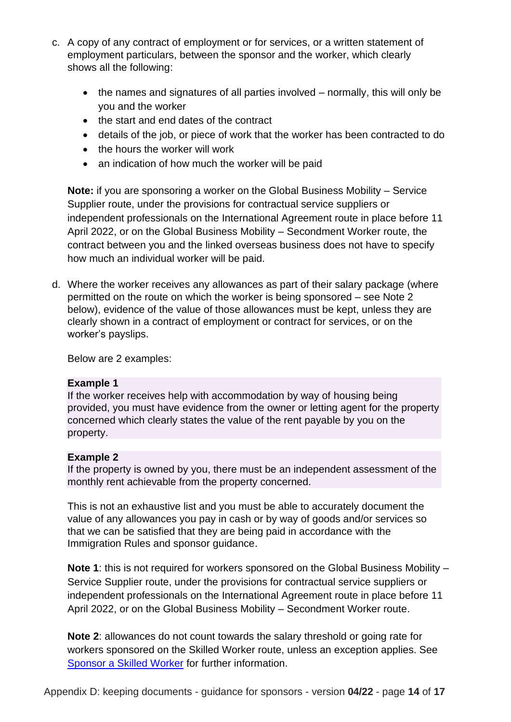- c. A copy of any contract of employment or for services, or a written statement of employment particulars, between the sponsor and the worker, which clearly shows all the following:
	- the names and signatures of all parties involved normally, this will only be you and the worker
	- the start and end dates of the contract
	- details of the job, or piece of work that the worker has been contracted to do
	- the hours the worker will work
	- an indication of how much the worker will be paid

**Note:** if you are sponsoring a worker on the Global Business Mobility – Service Supplier route, under the provisions for contractual service suppliers or independent professionals on the International Agreement route in place before 11 April 2022, or on the Global Business Mobility – Secondment Worker route, the contract between you and the linked overseas business does not have to specify how much an individual worker will be paid.

d. Where the worker receives any allowances as part of their salary package (where permitted on the route on which the worker is being sponsored – see Note 2 below), evidence of the value of those allowances must be kept, unless they are clearly shown in a contract of employment or contract for services, or on the worker's payslips.

Below are 2 examples:

#### **Example 1**

If the worker receives help with accommodation by way of housing being provided, you must have evidence from the owner or letting agent for the property concerned which clearly states the value of the rent payable by you on the property.

#### **Example 2**

If the property is owned by you, there must be an independent assessment of the monthly rent achievable from the property concerned.

This is not an exhaustive list and you must be able to accurately document the value of any allowances you pay in cash or by way of goods and/or services so that we can be satisfied that they are being paid in accordance with the Immigration Rules and sponsor guidance.

**Note 1:** this is not required for workers sponsored on the Global Business Mobility – Service Supplier route, under the provisions for contractual service suppliers or independent professionals on the International Agreement route in place before 11 April 2022, or on the Global Business Mobility – Secondment Worker route.

**Note 2**: allowances do not count towards the salary threshold or going rate for workers sponsored on the Skilled Worker route, unless an exception applies. See [Sponsor a Skilled Worker](https://www.gov.uk/government/publications/workers-and-temporary-workers-sponsor-a-skilled-worker) for further information.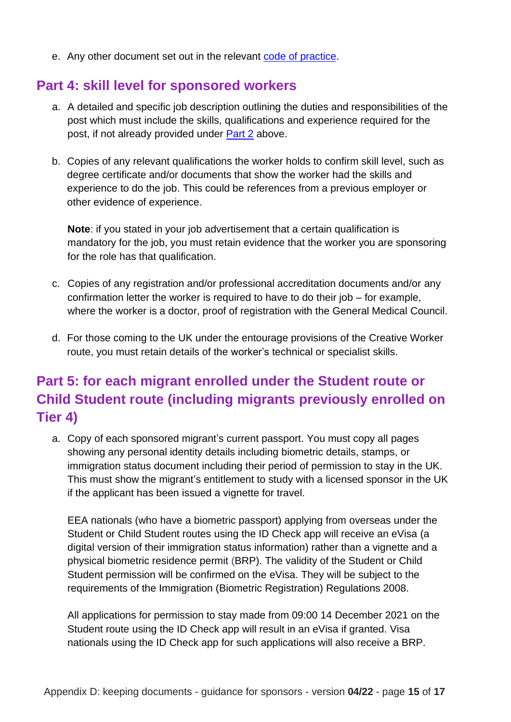e. Any other document set out in the relevant [code of practice.](https://www.gov.uk/government/collections/sponsorship-information-for-employers-and-educators#codes-of-practice)

### <span id="page-14-0"></span>**Part 4: skill level for sponsored workers**

- a. A detailed and specific job description outlining the duties and responsibilities of the post which must include the skills, qualifications and experience required for the post, if not already provided under [Part 2](#page-7-0) above.
- b. Copies of any relevant qualifications the worker holds to confirm skill level, such as degree certificate and/or documents that show the worker had the skills and experience to do the job. This could be references from a previous employer or other evidence of experience.

**Note**: if you stated in your job advertisement that a certain qualification is mandatory for the job, you must retain evidence that the worker you are sponsoring for the role has that qualification.

- c. Copies of any registration and/or professional accreditation documents and/or any confirmation letter the worker is required to have to do their job – for example, where the worker is a doctor, proof of registration with the General Medical Council.
- d. For those coming to the UK under the entourage provisions of the Creative Worker route, you must retain details of the worker's technical or specialist skills.

## <span id="page-14-1"></span>**Part 5: for each migrant enrolled under the Student route or Child Student route (including migrants previously enrolled on Tier 4)**

a. Copy of each sponsored migrant's current passport. You must copy all pages showing any personal identity details including biometric details, stamps, or immigration status document including their period of permission to stay in the UK. This must show the migrant's entitlement to study with a licensed sponsor in the UK if the applicant has been issued a vignette for travel.

EEA nationals (who have a biometric passport) applying from overseas under the Student or Child Student routes using the ID Check app will receive an eVisa (a digital version of their immigration status information) rather than a vignette and a physical biometric residence permit (BRP). The validity of the Student or Child Student permission will be confirmed on the eVisa. They will be subject to the requirements of the Immigration (Biometric Registration) Regulations 2008.

All applications for permission to stay made from 09:00 14 December 2021 on the Student route using the ID Check app will result in an eVisa if granted. Visa nationals using the ID Check app for such applications will also receive a BRP.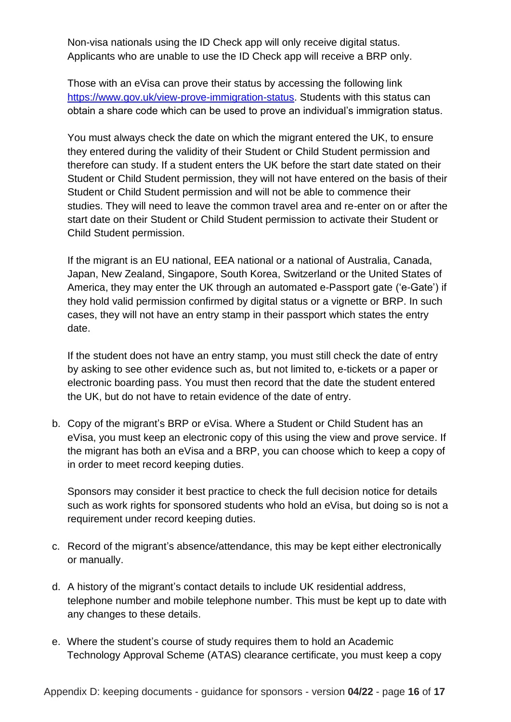Non-visa nationals using the ID Check app will only receive digital status. Applicants who are unable to use the ID Check app will receive a BRP only.

Those with an eVisa can prove their status by accessing the following link [https://www.gov.uk/view-prove-immigration-status.](https://eur01.safelinks.protection.outlook.com/?url=https%3A%2F%2Fwww.gov.uk%2Fview-prove-immigration-status&data=02%7C01%7CLaurence.Brammer%40homeoffice.gov.uk%7Cd3364aaabcb440d9d74808d85fc81087%7Cf24d93ecb2914192a08af182245945c2%7C0%7C0%7C637364660178304213&sdata=tOOHkaEyBziaYGPWaYRIZmBfME8EMu1MxcNq8%2Fqv7pc%3D&reserved=0) Students with this status can obtain a share code which can be used to prove an individual's immigration status.

You must always check the date on which the migrant entered the UK, to ensure they entered during the validity of their Student or Child Student permission and therefore can study. If a student enters the UK before the start date stated on their Student or Child Student permission, they will not have entered on the basis of their Student or Child Student permission and will not be able to commence their studies. They will need to leave the common travel area and re-enter on or after the start date on their Student or Child Student permission to activate their Student or Child Student permission.

If the migrant is an EU national, EEA national or a national of Australia, Canada, Japan, New Zealand, Singapore, South Korea, Switzerland or the United States of America, they may enter the UK through an automated e-Passport gate ('e-Gate') if they hold valid permission confirmed by digital status or a vignette or BRP. In such cases, they will not have an entry stamp in their passport which states the entry date.

If the student does not have an entry stamp, you must still check the date of entry by asking to see other evidence such as, but not limited to, e-tickets or a paper or electronic boarding pass. You must then record that the date the student entered the UK, but do not have to retain evidence of the date of entry.

b. Copy of the migrant's BRP or eVisa. Where a Student or Child Student has an eVisa, you must keep an electronic copy of this using the view and prove service. If the migrant has both an eVisa and a BRP, you can choose which to keep a copy of in order to meet record keeping duties.

Sponsors may consider it best practice to check the full decision notice for details such as work rights for sponsored students who hold an eVisa, but doing so is not a requirement under record keeping duties.

- c. Record of the migrant's absence/attendance, this may be kept either electronically or manually.
- d. A history of the migrant's contact details to include UK residential address, telephone number and mobile telephone number. This must be kept up to date with any changes to these details.
- e. Where the student's course of study requires them to hold an Academic Technology Approval Scheme (ATAS) clearance certificate, you must keep a copy